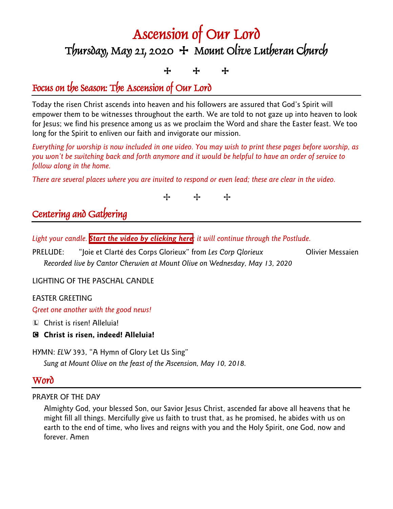# Ascension of Our Lord  $T$ bursday, May 21, 2020  $+$  Mount Olive Lutheran Church

# + + +

# Focus on the Season: The Ascension of Our Lord

Today the risen Christ ascends into heaven and his followers are assured that God's Spirit will empower them to be witnesses throughout the earth. We are told to not gaze up into heaven to look for Jesus; we find his presence among us as we proclaim the Word and share the Easter feast. We too long for the Spirit to enliven our faith and invigorate our mission.

*Everything for worship is now included in one video. You may wish to print these pages before worship, as you won't be switching back and forth anymore and it would be helpful to have an order of service to follow along in the home.*

*There are several places where you are invited to respond or even lead; these are clear in the video.*



# Centering and Gathering

*Light your candle. Start the video [by clicking here](https://youtu.be/V2GMVqWqnvA); it will continue through the Postlude.*

PRELUDE: "Joie et Clarté des Corps Glorieux" from Les Corp Glorieux **Olivier Messaien** *Recorded live by Cantor Cherwien at Mount Olive on Wednesday, May 13, 2020*

LIGHTING OF THE PASCHAL CANDLE

### EASTER GREETING

*Greet one another with the good news!*

- L Christ is risen! Alleluia!
- C **Christ is risen, indeed! Alleluia!**

HYMN: *ELW* 393, "A Hymn of Glory Let Us Sing" *Sung at Mount Olive on the feast of the Ascension, May 10, 2018.*

## Word

### PRAYER OF THE DAY

Almighty God, your blessed Son, our Savior Jesus Christ, ascended far above all heavens that he might fill all things. Mercifully give us faith to trust that, as he promised, he abides with us on earth to the end of time, who lives and reigns with you and the Holy Spirit, one God, now and forever. Amen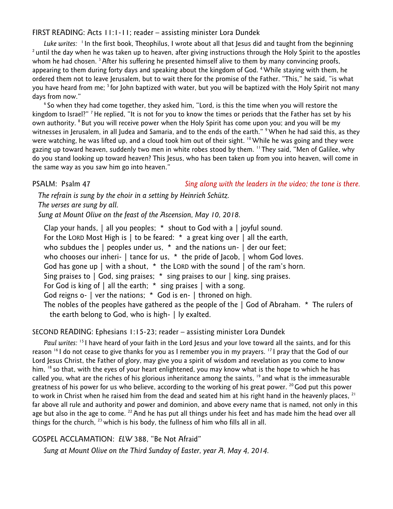#### FIRST READING: Acts 11:1-11; reader – assisting minister Lora Dundek

Luke writes:  $\frac{1}{1}$  In the first book, Theophilus, I wrote about all that Jesus did and taught from the beginning<br>a until the day when he was taken up to heaven, after giving instructions through the Holy Spirit to the whom he had chosen.  $3$  After his suffering he presented himself alive to them by many convincing proofs, appearing to them during forty days and speaking about the kingdom of God. <sup>4</sup> While staying with them, he ordered them not to leave Jerusalem, but to wait there for the promise of the Father. "This," he said, "is what you have heard from me; <sup>5</sup> for John baptized with water, but you will be baptized with the Holy Spirit not many days from now."

<sup>6</sup> So when they had come together, they asked him, "Lord, is this the time when you will restore the kingdom to Israel?" <sup>7</sup> He replied, "It is not for you to know the times or periods that the Father has set by his own authority. <sup>8</sup> But you will receive power when the Holy Spirit has come upon you; and you will be my witnesses in Jerusalem, in all Judea and Samaria, and to the ends of the earth." <sup>9</sup> When he had said this, as they were watching, he was lifted up, and a cloud took him out of their sight. <sup>10</sup> While he was going and they were gazing up toward heaven, suddenly two men in white robes stood by them. <sup>11</sup> They said, "Men of Galilee, why do you stand looking up toward heaven? This Jesus, who has been taken up from you into heaven, will come in the same way as you saw him go into heaven."

PSALM: Psalm 47 *Sing along with the leaders in the video; the tone is there.*

*The refrain is sung by the choir in a setting by Heinrich Schütz. The verses are sung by all. Sung at Mount Olive on the feast of the Ascension, May 10, 2018.*

Clap your hands, | all you peoples; \* shout to God with a | joyful sound. For the LORD Most High is  $\vert$  to be feared: \* a great king over  $\vert$  all the earth, who subdues the  $\vert$  peoples under us,  $*$  and the nations un-  $\vert$  der our feet; who chooses our inheri- | tance for us, \* the pride of Jacob, | whom God loves. God has gone up  $\vert$  with a shout,  $*$  the LORD with the sound  $\vert$  of the ram's horn. Sing praises to  $\vert$  God, sing praises;  $*$  sing praises to our  $\vert$  king, sing praises. For God is king of  $\vert$  all the earth;  $*$  sing praises  $\vert$  with a song. God reigns o- | ver the nations; \* God is en- | throned on high. The nobles of the peoples have gathered as the people of the | God of Abraham. \* The rulers of the earth belong to God, who is high- | ly exalted.

#### SECOND READING: Ephesians 1:15-23; reader – assisting minister Lora Dundek

*Paul writes:* 15 I have heard of your faith in the Lord Jesus and your love toward all the saints, and for this reason 16 I do not cease to give thanks for you as I remember you in my prayers. 17 I pray that the God of our Lord Jesus Christ, the Father of glory, may give you a spirit of wisdom and revelation as you come to know him, <sup>18</sup> so that, with the eyes of your heart enlightened, you may know what is the hope to which he has called you, what are the riches of his glorious inheritance among the saints, 19 and what is the immeasurable greatness of his power for us who believe, according to the working of his great power. <sup>20</sup> God put this power to work in Christ when he raised him from the dead and seated him at his right hand in the heavenly places, <sup>21</sup> far above all rule and authority and power and dominion, and above every name that is named, not only in this age but also in the age to come. <sup>22</sup> And he has put all things under his feet and has made him the head over all things for the church,  $^{23}$  which is his body, the fullness of him who fills all in all.

GOSPEL ACCLAMATION: *ELW* 388, "Be Not Afraid"

*Sung at Mount Olive on the Third Sunday of Easter, year A, May 4, 2014.*